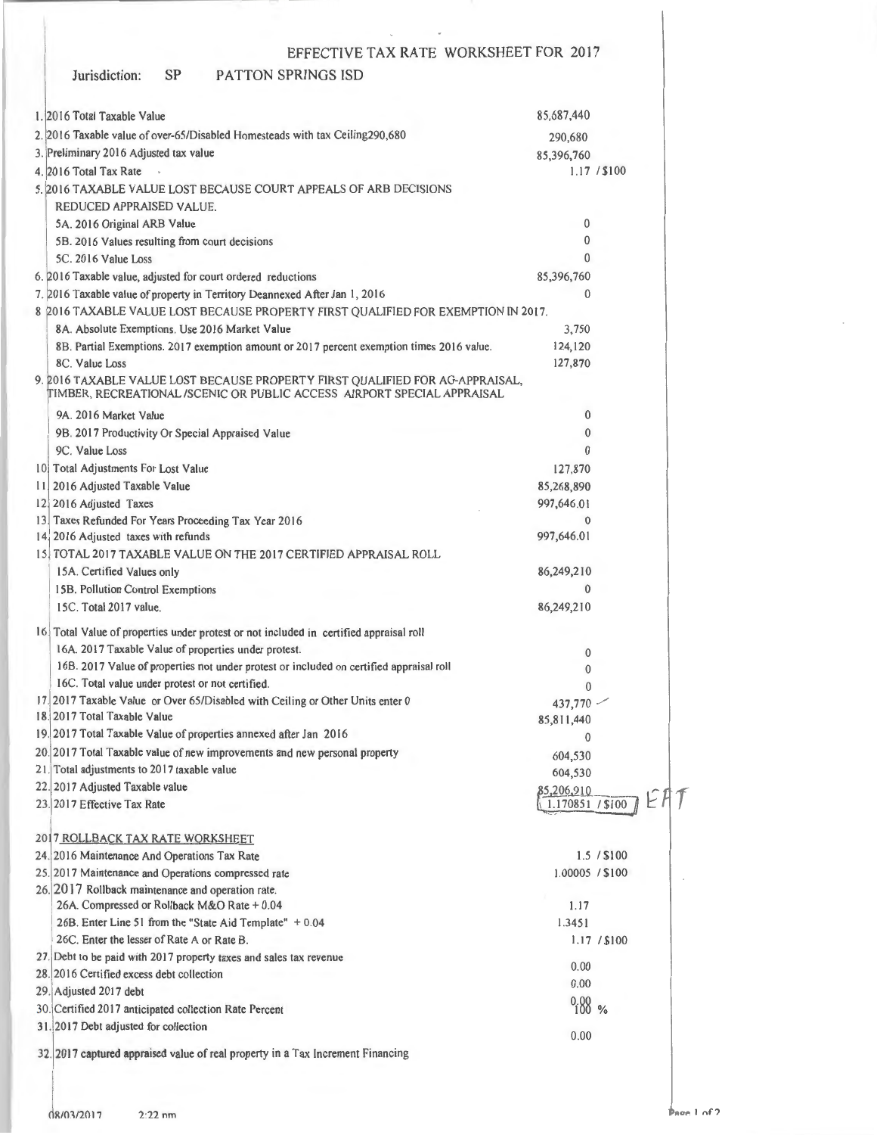### Jurisdiction: SP PATTON SPRJNGS lSD I. 20 16 Total Taxable Value 2. 2016 Taxable value of over-65/Disabled Homesteads with tax Ceiling290,680 3. Preliminary 2016 Adjusted tax value 4. 2016 Total Tax Rate 5. 2016 TAXABLE VALUE LOST BECAUSE COURT APPEALS OF ARB DECISIONS REDUCED APPRAISED VALUE. SA. 2016 Original ARB Value 58. 20 16 Values resulting from court decisions SC. 20 16 Value Loss 6. 2016 Taxable value, adjusted for court ordered reductions 7. 2016 Taxable value of property in Territory Deannexed After Jan 1, 2016 85,687,440 290,680 85 ,396,760 1.17 / \$100 0  $\theta$  $\Omega$ 85 ,396,760  $\Omega$ 8 !2016 TAXABLE VALUE LOST BECAUSE PROPERTY FIRST QUALIFIED FOR EXEMPTION IN 2017. 8A. Absolute Exemptions. Use 20 16 Market Value 8B. Partial Exemptions. 2017 exemption amount or 2017 percent exemption times 2016 value. 8C. Value Loss 9. 2016 TAXABLE VALUE LOST BECAUSE PROPERTY FIRST QUALIFIED FOR AG-APPRAISAL, IMBER, RECREATIONAL /SCENIC OR PUBLIC ACCESS AJRPORT SPECIAL APPRAISAL 9A. 2016 Market Value 9B. 2017 Productivity Or Special Appraised Value 9C. Value Loss 10 Total Adjustments For Lost Value 11 2016 Adjusted Taxable Value 12 2016 Adjusted Taxes 13 Taxes Refunded For Years Proceeding Tax Year 2016 14. 2016 Adjusted taxes with refunds 15 TOTAL 2017 TAXABLE VALUE ON THE 2017 CERTIFIED APPRAISAL ROLL 15A. Certified Values only 15B. Pollution Control Exemptions 15C. Total 2017 value. 16. Total Value of properties under protest or not included in certified appraisal roll 16A. 20 17 Taxable Value of properties under protest. 16B. 2017 Value of properties not under protest or included on certified appraisal roll 16C. Total value under protest or not certified. 17. 2017 Taxable Value or Over 65/Disabled with Ceiling or Other Units enter 0 18. 2017 Total Taxable Value 19. 2017 Total Taxable Value of properties annexed after Jan 20 16 20. 2017 Total Taxable value of new improvements and new personal property 21. Total adjustments to 2017 taxable value 3,750 124, 120 127,870 0 0  $\theta$ 127,870 85 ,268,890 997,646.01  $\theta$ 997,646.01 86,249,210 0 86,249,210 0 0  $\theta$  $437,770$   $-$ 85,8 11 ,440 0 604,530 604,530 22. 2017 Adjusted Taxable value 22. 2017 Adjusted Taxable value<br>
23. 2017 Effective Tax Rate **row** Rate **row** Rate **row** Rate **row** Rate **row** Rate **row** Rate **row** Rate **row** Rate **row** Rate **row** Rate **row** Rate **row** Rate **row** Rate **row** Rate **row** 20 7 ROLLBACK TAX RATE WORKSHEET 24. 20 16 Maintenance And Operations Tax Rate 25. 20 17 Maintenance and Operations compressed rate 26. 20 17 Rollback maintenance and operation rate. 26A. Compressed or Rollback M&O Rate + 0.04 26B. Enter Line 51 from the "State Aid Template"  $+0.04$ 26C. Enter the lesser of Rate A or Rate B. 27. Debt to be paid with 2017 property taxes and sales tax revenue 28. 2016 Certified excess debt collection 29. Adjusted 2017 debt 30. Certified 2017 anticipated collection Rate Percent 31. 2017 Debt adjusted for collection 1.5 / \$100 1.00005 I \$100 1.17 1.3451 1.17 / \$100 0.00 0.00  $^{0.00}_{100}$  % 0.00

32. 20 17 captured appraised value of real property in a Tax Increment Financing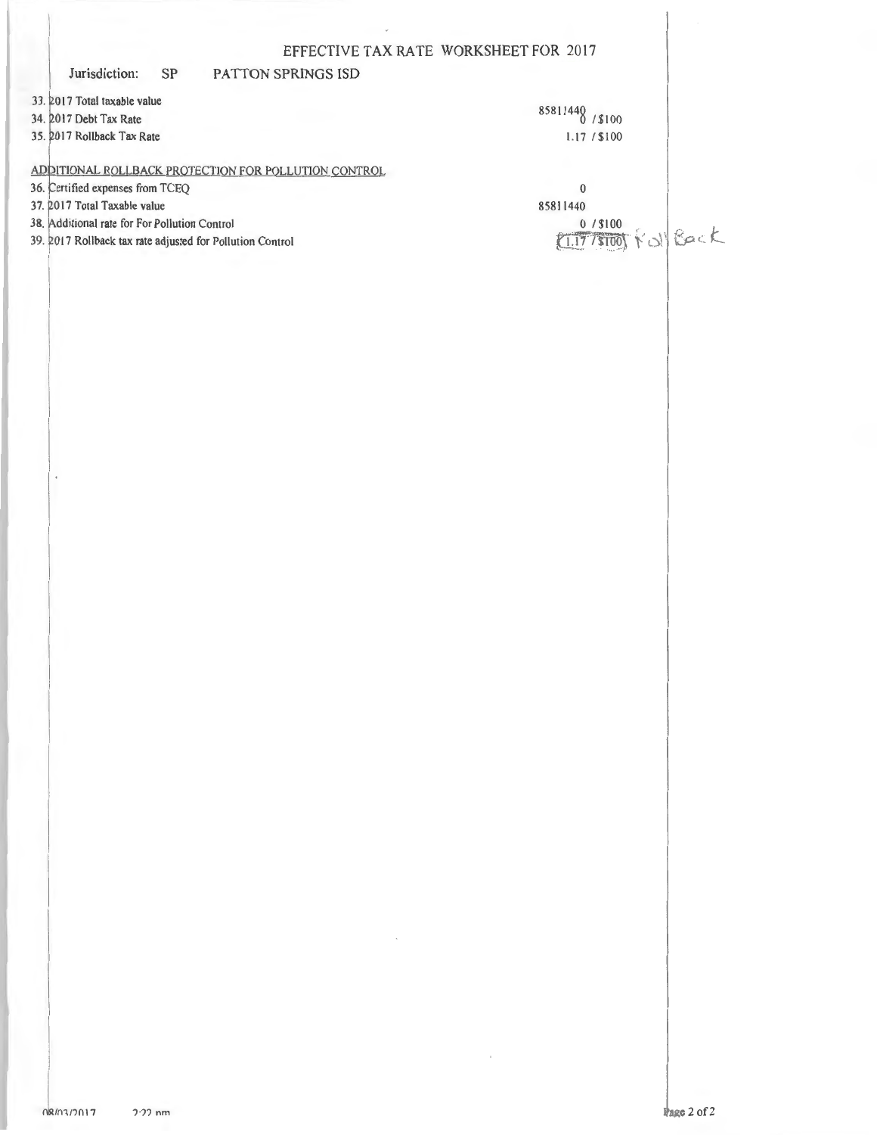|                                                                                                            |           | EFFECTIVE TAX RATE WORKSHEET FOR 2017                |                 |
|------------------------------------------------------------------------------------------------------------|-----------|------------------------------------------------------|-----------------|
| Jurisdiction:                                                                                              | <b>SP</b> | <b>PATTON SPRINGS ISD</b>                            |                 |
| 33. 2017 Total taxable value                                                                               |           |                                                      | 85811440        |
| 34. 2017 Debt Tax Rate                                                                                     |           |                                                      | \$100           |
| 35. 2017 Rollback Tax Rate                                                                                 |           |                                                      | 1.17 / \$100    |
|                                                                                                            |           | ADDITIONAL ROLLBACK PROTECTION FOR POLLUTION CONTROL |                 |
| 36. Certified expenses from TCEQ                                                                           |           |                                                      | 0               |
| 37. 2017 Total Taxable value                                                                               |           |                                                      | 85811440        |
| 38. Additional rate for For Pollution Control<br>39. 2017 Rollback tax rate adjusted for Pollution Control |           |                                                      | 0/ \$100        |
|                                                                                                            |           |                                                      | <b>KollBack</b> |
|                                                                                                            |           |                                                      |                 |

 $\bar{\mathcal{A}}$ 

 $\sim$ 

 $\cdot$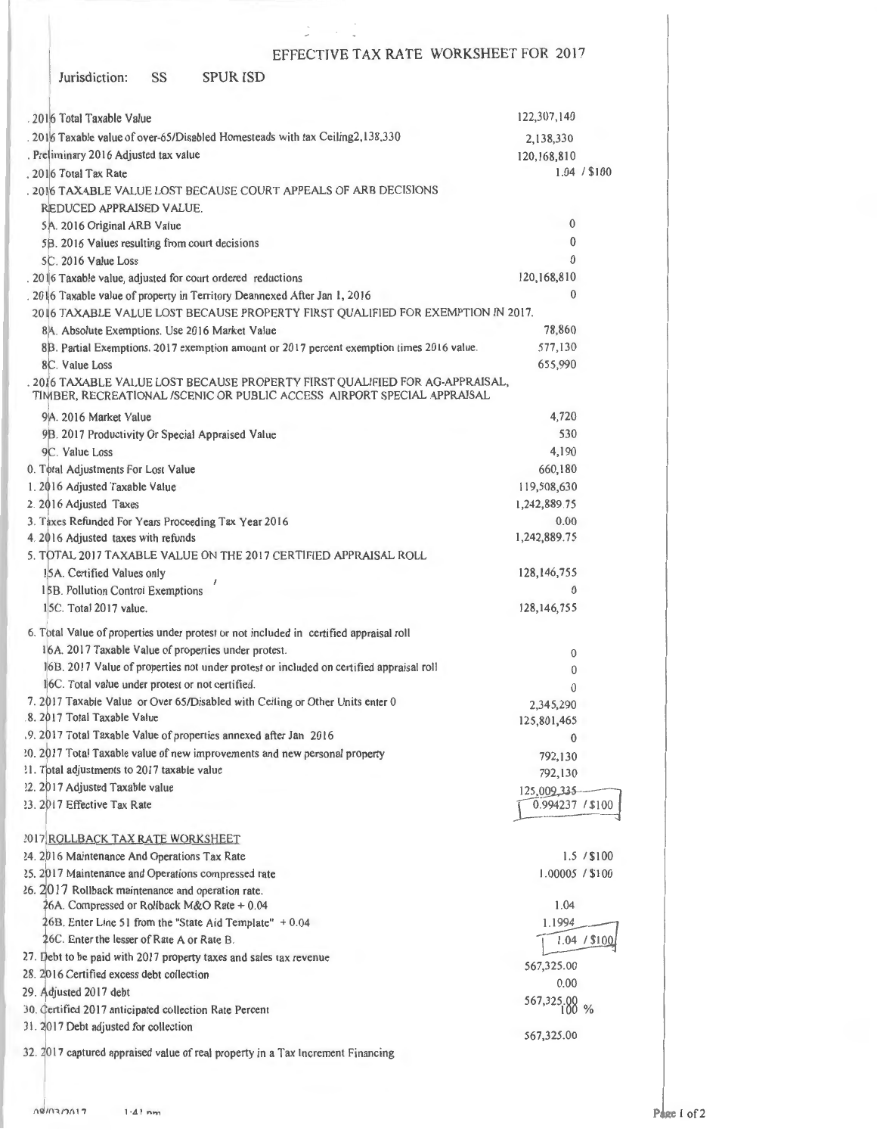| Jurisdiction: | SS | <b>SPUR ISD</b> |
|---------------|----|-----------------|
|---------------|----|-----------------|

| . 2016 Total Taxable Value                                                                                                                              | 122,307,140      |              |
|---------------------------------------------------------------------------------------------------------------------------------------------------------|------------------|--------------|
| . 2016 Taxable value of over-65/Disabled Homesteads with tax Ceiling2,138,330                                                                           | 2,138,330        |              |
| . Preliminary 2016 Adjusted tax value                                                                                                                   | 120,168,810      |              |
| . 2016 Total Tax Rate                                                                                                                                   |                  | 1.04 / \$100 |
| . 2016 TAXABLE VALUE LOST BECAUSE COURT APPEALS OF ARB DECISIONS                                                                                        |                  |              |
| REDUCED APPRAISED VALUE.                                                                                                                                |                  |              |
| 5A. 2016 Original ARB Value                                                                                                                             | 0                |              |
| 5B. 2016 Values resulting from court decisions                                                                                                          | 0                |              |
| 5C. 2016 Value Loss                                                                                                                                     | $\theta$         |              |
| . 2016 Taxable value, adjusted for court ordered reductions                                                                                             | 120,168,810      |              |
| . 2016 Taxable value of property in Territory Deannexed After Jan 1, 2016                                                                               | 0                |              |
| 2016 TAXABLE VALUE LOST BECAUSE PROPERTY FIRST QUALIFIED FOR EXEMPTION IN 2017.                                                                         |                  |              |
| 8A. Absolute Exemptions. Use 2016 Market Value                                                                                                          | 78,860           |              |
| 8B. Partial Exemptions. 2017 exemption amount or 2017 percent exemption times 2016 value.                                                               | 577,130          |              |
| 8C. Value Loss                                                                                                                                          | 655,990          |              |
| . 2016 TAXABLE VALUE LOST BECAUSE PROPERTY FIRST QUALIFIED FOR AG-APPRAISAL,<br>TIMBER, RECREATIONAL /SCENIC OR PUBLIC ACCESS AIRPORT SPECIAL APPRAISAL |                  |              |
| 9A. 2016 Market Value                                                                                                                                   | 4,720            |              |
| 9B. 2017 Productivity Or Special Appraised Value                                                                                                        | 530              |              |
| 9C. Value Loss                                                                                                                                          | 4,190            |              |
| 0. Total Adjustments For Lost Value                                                                                                                     | 660,180          |              |
| 1. 2016 Adjusted Taxable Value                                                                                                                          | 119,508,630      |              |
| 2. 2016 Adjusted Taxes                                                                                                                                  | 1,242,889.75     |              |
| 3. Taxes Refunded For Years Proceeding Tax Year 2016                                                                                                    | 0.00             |              |
| 4. 2016 Adjusted taxes with refunds                                                                                                                     | 1,242,889.75     |              |
| 5. TOTAL 2017 TAXABLE VALUE ON THE 2017 CERTIFIED APPRAISAL ROLL                                                                                        |                  |              |
| 15A. Certified Values only                                                                                                                              | 128,146,755      |              |
| 15B. Pollution Control Exemptions                                                                                                                       | $\bf{0}$         |              |
| 15C. Total 2017 value.                                                                                                                                  | 128, 146, 755    |              |
|                                                                                                                                                         |                  |              |
| 6. Total Value of properties under protest or not included in certified appraisal roll<br>16A. 2017 Taxable Value of properties under protest.          |                  |              |
|                                                                                                                                                         | 0                |              |
| 16B. 2017 Value of properties not under protest or included on certified appraisal roll<br>li6C. Total value under protest or not certified.            | 0                |              |
|                                                                                                                                                         | 0                |              |
| 7. 2017 Taxable Value or Over 65/Disabled with Ceiling or Other Units enter 0<br>8. 2017 Total Taxable Value                                            | 2,345,290        |              |
|                                                                                                                                                         | 125,801,465      |              |
| .9. 2017 Total Taxable Value of properties annexed after Jan 2016                                                                                       | $\theta$         |              |
| 20. 2017 Total Taxable value of new improvements and new personal property<br>?1. Total adjustments to 2017 taxable value                               | 792,130          |              |
| 22. 2017 Adjusted Taxable value                                                                                                                         | 792,130          |              |
|                                                                                                                                                         | 125,009,335      |              |
| 23. 2017 Effective Tax Rate                                                                                                                             | 0.994237 / \$100 |              |
| 2017 ROLLBACK TAX RATE WORKSHEET                                                                                                                        |                  |              |
| 24. 2016 Maintenance And Operations Tax Rate                                                                                                            |                  | 1.5 / \$100  |
| 25. 2017 Maintenance and Operations compressed rate                                                                                                     | 1.00005 / \$100  |              |
| 26. 2017 Rollback maintenance and operation rate.                                                                                                       |                  |              |
| 26A. Compressed or Rollback M&O Rate + 0.04                                                                                                             | 1.04             |              |
| 26B. Enter Line 51 from the "State Aid Template" + 0.04                                                                                                 | 1.1994           |              |
| 26C. Enter the lesser of Rate A or Rate B.                                                                                                              |                  | 1.04 / \$100 |
| 27. Debt to be paid with 2017 property taxes and sales tax revenue                                                                                      |                  |              |
| 28. 2016 Certified excess debt collection                                                                                                               | 567,325.00       |              |
| 29. Adjusted 2017 debt                                                                                                                                  | 0.00             |              |
| 30. Certified 2017 anticipated collection Rate Percent                                                                                                  | 567,325.00 %     |              |
| 31. 2017 Debt adjusted for collection                                                                                                                   |                  |              |
|                                                                                                                                                         | 567,325.00       |              |
| 32. 2017 captured appraised value of real property in a Tax Increment Financing                                                                         |                  |              |

 $\frac{1}{\sqrt{2}}$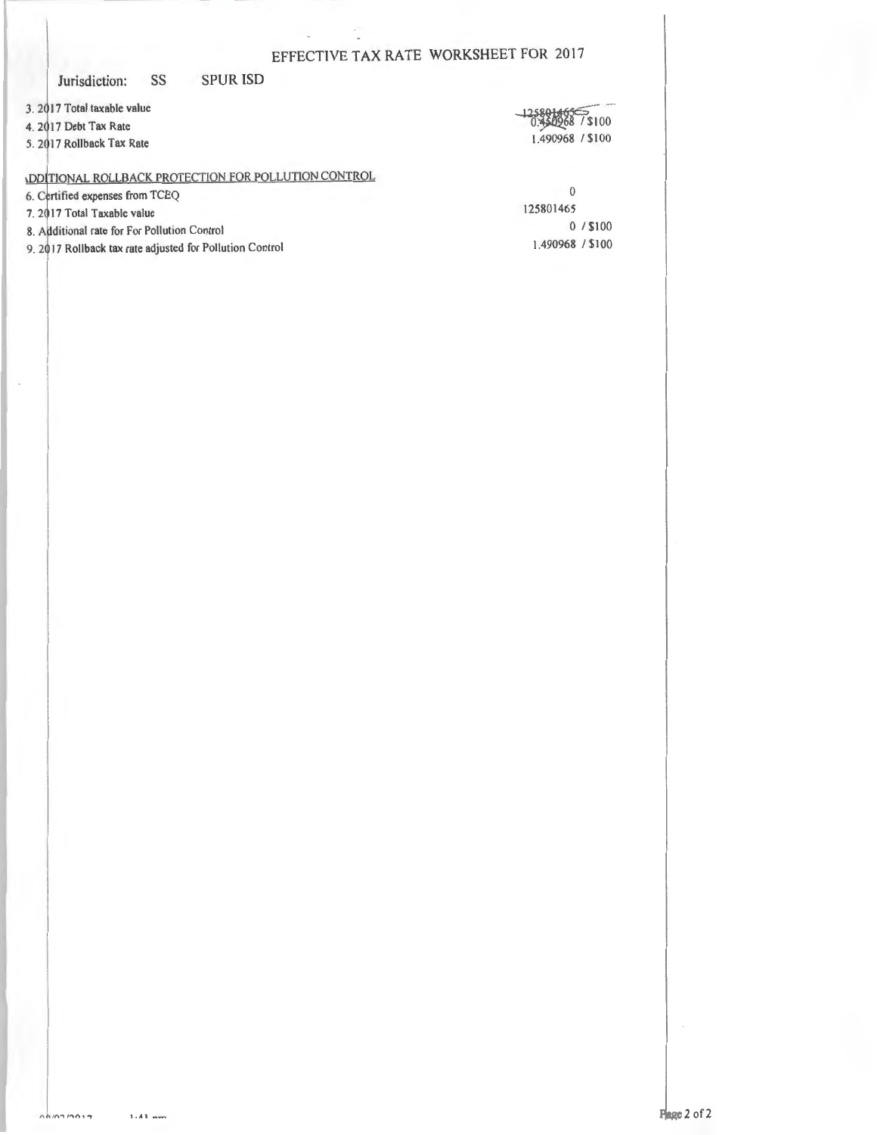### Jurisdiction: SS

**SPUR ISD** 

3. 2017 Total taxable value

4. 2017 Debt Tax Rate

5. 2017 Rollback Tax Rate

7\$100 1.490968 / \$100

**ODITIONAL ROLLBACK PROTECTION FOR POLLUTION CONTROL** 

6. Certified expenses from TCEQ

7. 2017 Total Taxable value

 $\cdot$ 

- 8. Additional rate for For Pollution Control
- 9. 2017 Rollback tax rate adjusted for Pollution Control

 $\theta$ 125801465  $0/$ \$100 1.490968 / \$100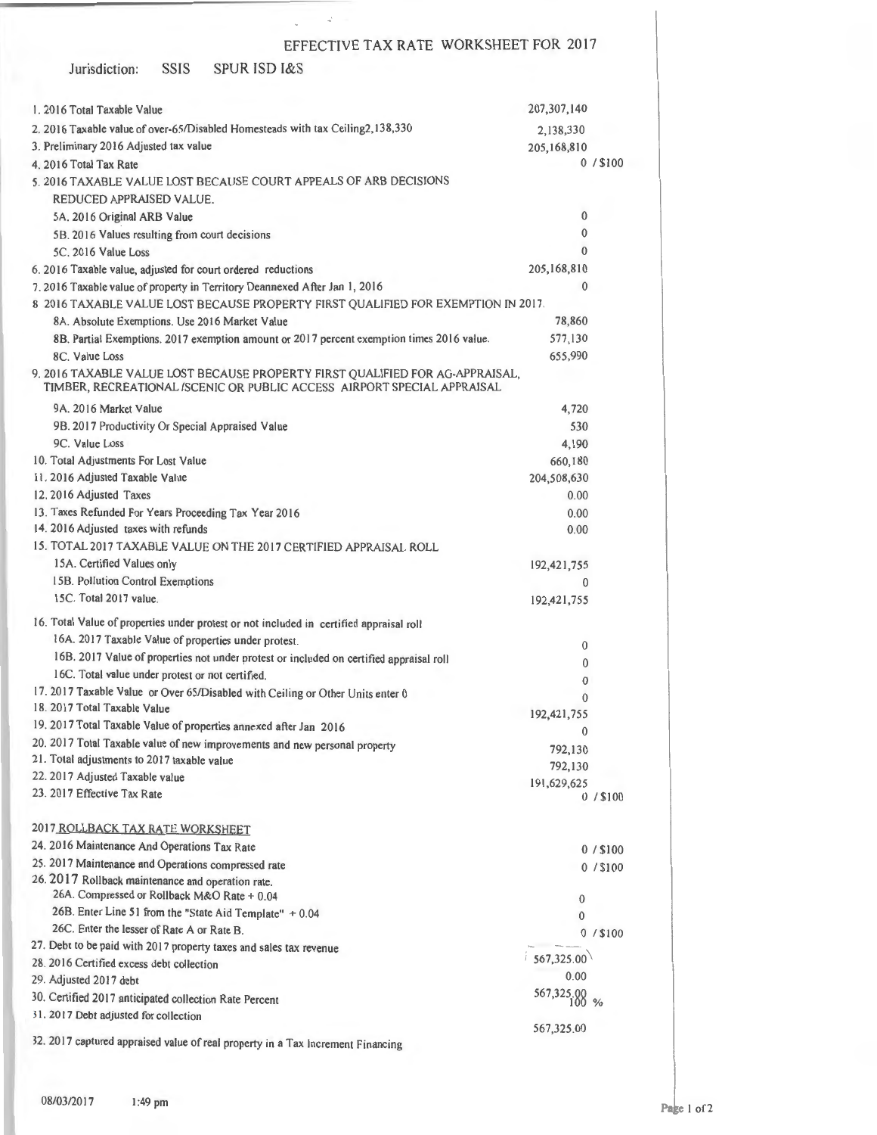| <b>SPUR ISD I&amp;S</b><br>Jurisdiction:<br>SSIS                                                                                                         |                        |            |
|----------------------------------------------------------------------------------------------------------------------------------------------------------|------------------------|------------|
| 1.2016 Total Taxable Value                                                                                                                               | 207, 307, 140          |            |
| 2. 2016 Taxable value of over-65/Disabled Homesteads with tax Ceiling2,138,330                                                                           | 2,138,330              |            |
| 3. Preliminary 2016 Adjusted tax value                                                                                                                   | 205,168,810            |            |
| 4. 2016 Total Tax Rate                                                                                                                                   |                        | $0/$ \$100 |
| 5, 2016 TAXABLE VALUE LOST BECAUSE COURT APPEALS OF ARB DECISIONS                                                                                        |                        |            |
| REDUCED APPRAISED VALUE.                                                                                                                                 |                        |            |
| 5A. 2016 Original ARB Value                                                                                                                              | 0                      |            |
| 5B. 2016 Values resulting from court decisions                                                                                                           | $\mathbf{0}$           |            |
| 5C. 2016 Value Loss                                                                                                                                      | $\mathbf{0}$           |            |
| 6. 2016 Taxable value, adjusted for court ordered reductions                                                                                             | 205,168,810            |            |
| 7. 2016 Taxable value of property in Territory Deannexed After Jan 1, 2016                                                                               | $\bf{0}$               |            |
| 8 2016 TAXABLE VALUE LOST BECAUSE PROPERTY FIRST QUALIFIED FOR EXEMPTION IN 2017.                                                                        |                        |            |
| 8A. Absolute Exemptions. Use 2016 Market Value                                                                                                           | 78,860                 |            |
| 8B. Partial Exemptions. 2017 exemption amount or 2017 percent exemption times 2016 value.                                                                | 577,130                |            |
| 8C. Value Loss                                                                                                                                           | 655,990                |            |
| 9. 2016 TAXABLE VALUE LOST BECAUSE PROPERTY FIRST QUALIFIED FOR AG-APPRAISAL,<br>TIMBER, RECREATIONAL /SCENIC OR PUBLIC ACCESS AIRPORT SPECIAL APPRAISAL |                        |            |
| 9A. 2016 Market Value                                                                                                                                    | 4,720                  |            |
| 9B. 2017 Productivity Or Special Appraised Value                                                                                                         | 530                    |            |
| 9C. Value Loss<br>10. Total Adjustments For Lost Value                                                                                                   | 4,190                  |            |
| 11. 2016 Adjusted Taxable Value                                                                                                                          | 660,180<br>204,508,630 |            |
| 12. 2016 Adjusted Taxes                                                                                                                                  | 0.00                   |            |
| 13. Taxes Refunded For Years Proceeding Tax Year 2016                                                                                                    | 0.00                   |            |
| 14. 2016 Adjusted taxes with refunds                                                                                                                     | 0.00                   |            |
| 15. TOTAL 2017 TAXABLE VALUE ON THE 2017 CERTIFIED APPRAISAL ROLL                                                                                        |                        |            |
| 15A. Certified Values only                                                                                                                               | 192,421,755            |            |
| 15B. Pollution Control Exemptions                                                                                                                        | 0                      |            |
| 15C. Total 2017 value.                                                                                                                                   | 192,421,755            |            |
| 16. Total Value of properties under protest or not included in certified appraisal roll                                                                  |                        |            |
| 16A. 2017 Taxable Value of properties under protest.                                                                                                     |                        |            |
| 16B. 2017 Value of properties not under protest or included on certified appraisal roll                                                                  | 0<br>0                 |            |
| 16C. Total value under protest or not certified.                                                                                                         | 0                      |            |
| 17. 2017 Taxable Value or Over 65/Disabled with Ceiling or Other Units enter 0                                                                           | 0                      |            |
| 18. 2017 Total Taxable Value                                                                                                                             | 192,421,755            |            |
| 19. 2017 Total Taxable Value of properties annexed after Jan 2016                                                                                        | 0                      |            |
| 20. 2017 Total Taxable value of new improvements and new personal property                                                                               | 792,130                |            |
| 21. Total adjustments to 2017 taxable value                                                                                                              | 792,130                |            |
| 22. 2017 Adjusted Taxable value                                                                                                                          | 191,629,625            |            |
| 23. 2017 Effective Tax Rate                                                                                                                              |                        | 0/100      |
| 2017 ROLLBACK TAX RATE WORKSHEET                                                                                                                         |                        |            |
| 24. 2016 Maintenance And Operations Tax Rate                                                                                                             |                        | $0/$ \$100 |
| 25. 2017 Maintenance and Operations compressed rate                                                                                                      |                        | 0/100      |
| 26. 2017 Rollback maintenance and operation rate.<br>26A. Compressed or Rollback M&O Rate + 0.04                                                         | 0                      |            |
| 26B. Enter Line 51 from the "State Aid Template" + 0.04                                                                                                  | $\mathbf{0}$           |            |
| 26C. Enter the lesser of Rate A or Rate B.                                                                                                               |                        | $0/$ \$100 |
| 27. Debt to be paid with 2017 property taxes and sales tax revenue                                                                                       |                        |            |
| 28. 2016 Certified excess debt collection                                                                                                                | 67,325.00              |            |
| 29. Adjusted 2017 debt                                                                                                                                   | 0.00                   |            |
| 30. Certified 2017 anticipated collection Rate Percent                                                                                                   | 567,325.00 %           |            |
| 31. 2017 Debt adjusted for collection                                                                                                                    |                        |            |
| 32. 2017 captured appraised value of real property in a Tax Increment Financing                                                                          | 567,325.00             |            |

 $\sqrt{1-\lambda}$  .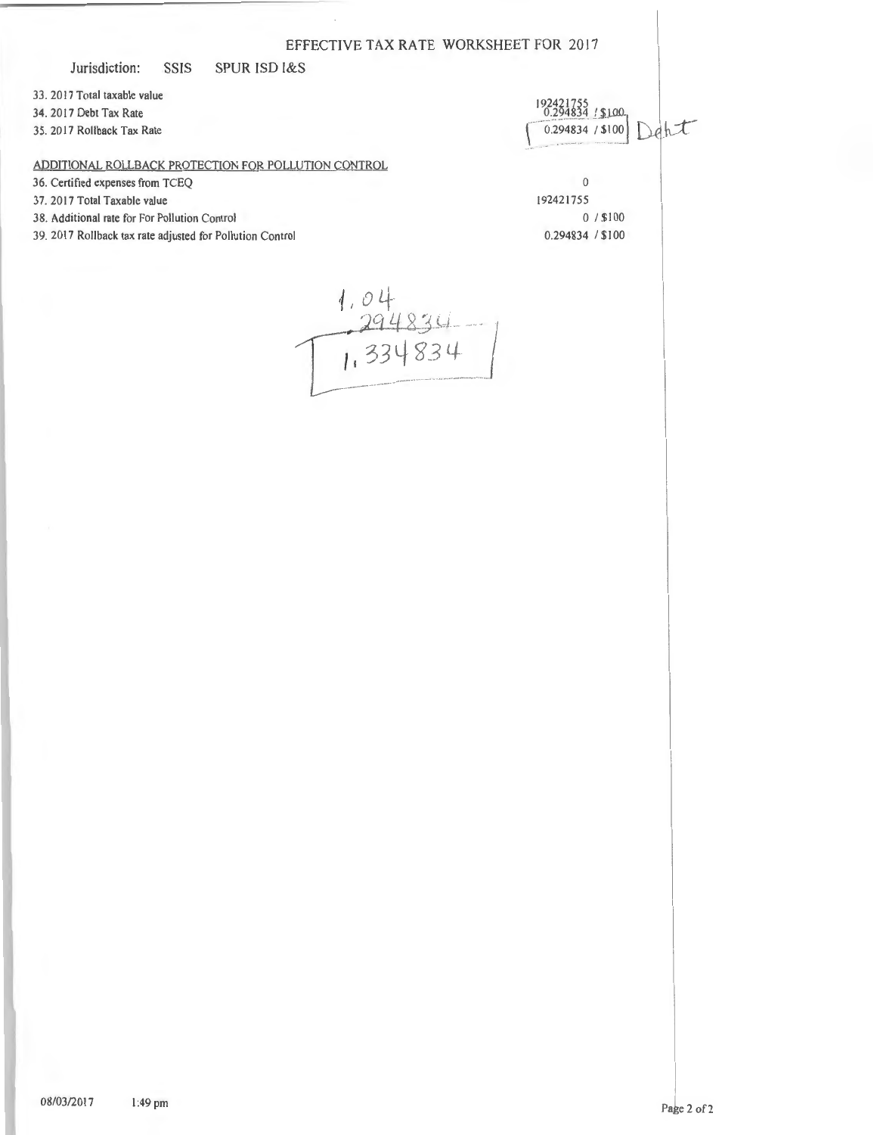### Jurisdiction: SSIS SPUR lSD l&S

33 . 2017 Total taxable value

34. 20 17 Debt Tax Rate

35. 20 17 Rollback Tax Rate

## ADDITIONAL ROLLBACK PROTECTION FOR POLLUTION CONTROL

36. Certified expenses from TCEQ 0<br>37. 2017 Total Taxable value 192421755

- 37. 2017 Total Taxable value
- 38. Additional rate for For Pollution Control 0  $\sqrt{100}$  \$100
- 39. 2017 Rollback tax rate adjusted for Pollution Control 0.294834 / \$100
- 192421755<br>0.294834 / \$100 Deht  $0.294834 / $100$

 $1.04$ <br> $1.394834$ <br> $1.334834$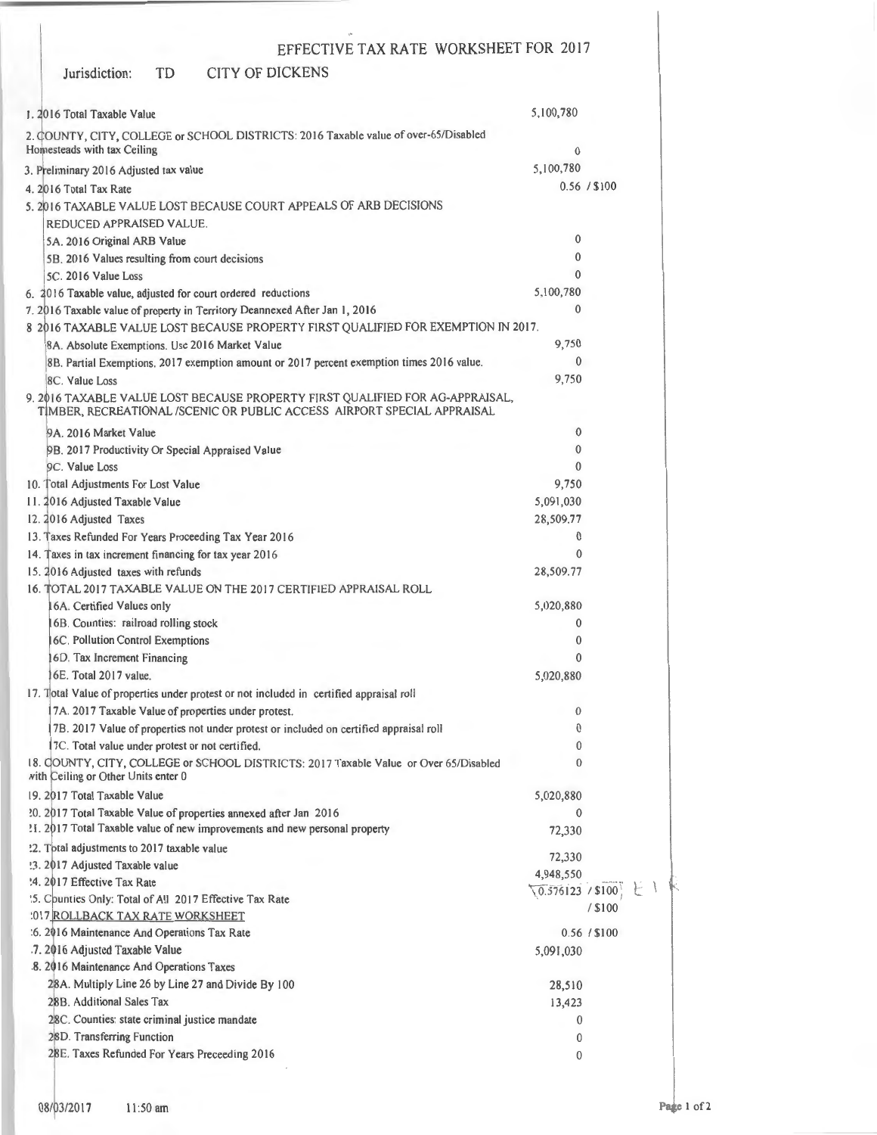### Jurisdiction: TO CITY OF DICKENS

| 1. 2016 Total Taxable Value                                                                                                                              | 5,100,780                 |              |
|----------------------------------------------------------------------------------------------------------------------------------------------------------|---------------------------|--------------|
| 2. COUNTY, CITY, COLLEGE or SCHOOL DISTRICTS: 2016 Taxable value of over-65/Disabled                                                                     |                           |              |
| Homesteads with tax Ceiling                                                                                                                              | 0                         |              |
| 3. Preliminary 2016 Adjusted tax value                                                                                                                   | 5,100,780                 |              |
| 4. 2016 Total Tax Rate                                                                                                                                   |                           | 0.56 / \$100 |
| 5. 2016 TAXABLE VALUE LOST BECAUSE COURT APPEALS OF ARB DECISIONS                                                                                        |                           |              |
| REDUCED APPRAISED VALUE.                                                                                                                                 |                           |              |
| 5A. 2016 Original ARB Value                                                                                                                              | 0                         |              |
| 5B. 2016 Values resulting from court decisions                                                                                                           | $\mathbf{0}$              |              |
| 5C. 2016 Value Loss                                                                                                                                      | $\theta$                  |              |
| 6. 2016 Taxable value, adjusted for court ordered reductions                                                                                             | 5,100,780                 |              |
| 7. 2016 Taxable value of property in Territory Deannexed After Jan 1, 2016                                                                               | $\mathbf{0}$              |              |
| 8 2016 TAXABLE VALUE LOST BECAUSE PROPERTY FIRST QUALIFIED FOR EXEMPTION IN 2017.                                                                        |                           |              |
| 8A. Absolute Exemptions. Use 2016 Market Value                                                                                                           | 9,750                     |              |
| 8B. Partial Exemptions. 2017 exemption amount or 2017 percent exemption times 2016 value.                                                                | $\mathbf{0}$              |              |
| 8C. Value Loss                                                                                                                                           | 9,750                     |              |
| 9. 2016 TAXABLE VALUE LOST BECAUSE PROPERTY FIRST QUALIFIED FOR AG-APPRAISAL,<br>TİMBER, RECREATIONAL /SCENIC OR PUBLIC ACCESS AIRPORT SPECIAL APPRAISAL |                           |              |
| 9A. 2016 Market Value                                                                                                                                    | $\theta$                  |              |
| 9B. 2017 Productivity Or Special Appraised Value                                                                                                         | $\mathbf{0}$              |              |
| 9C. Value Loss                                                                                                                                           | $\Omega$                  |              |
| 10. Total Adjustments For Lost Value                                                                                                                     | 9,750                     |              |
| 11. 2016 Adjusted Taxable Value                                                                                                                          | 5,091,030                 |              |
| 12. 2016 Adjusted Taxes                                                                                                                                  | 28,509.77                 |              |
| 13. Taxes Refunded For Years Proceeding Tax Year 2016                                                                                                    | $\mathbf{0}$              |              |
| 14. Taxes in tax increment financing for tax year 2016                                                                                                   | 0                         |              |
| 15. 2016 Adjusted taxes with refunds                                                                                                                     | 28,509.77                 |              |
| 16. TOTAL 2017 TAXABLE VALUE ON THE 2017 CERTIFIED APPRAISAL ROLL<br>6A. Certified Values only                                                           | 5,020,880                 |              |
| 6B. Counties: railroad rolling stock                                                                                                                     | 0                         |              |
| 6C. Pollution Control Exemptions                                                                                                                         | 0                         |              |
| 16D. Tax Increment Financing                                                                                                                             | 0                         |              |
| 6E. Total 2017 value.                                                                                                                                    | 5,020,880                 |              |
| 17. Total Value of properties under protest or not included in certified appraisal roll                                                                  |                           |              |
| 7A. 2017 Taxable Value of properties under protest.                                                                                                      | $\mathbf{0}$              |              |
| 7B. 2017 Value of properties not under protest or included on certified appraisal roll                                                                   | 0                         |              |
| 17C. Total value under protest or not certified.                                                                                                         | 0                         |              |
| 18. COUNTY, CITY, COLLEGE or SCHOOL DISTRICTS: 2017 Taxable Value or Over 65/Disabled<br>with Ceiling or Other Units enter 0                             | 0                         |              |
| 19. 2017 Total Taxable Value                                                                                                                             | 5,020,880                 |              |
| 20. 2017 Total Taxable Value of properties annexed after Jan 2016                                                                                        | 0                         |              |
| !1. 2017 Total Taxable value of new improvements and new personal property                                                                               | 72,330                    |              |
| '.2. Total adjustments to 2017 taxable value                                                                                                             | 72,330                    |              |
| !3. 2017 Adjusted Taxable value                                                                                                                          | 4,948,550                 |              |
| '4. 2017 Effective Tax Rate                                                                                                                              | $\sqrt{0.576123}$ / \$100 |              |
| '5. Counties Only: Total of All 2017 Effective Tax Rate                                                                                                  |                           | / \$100      |
| :017 ROLLBACK TAX RATE WORKSHEET                                                                                                                         |                           |              |
| :6. 2016 Maintenance And Operations Tax Rate                                                                                                             |                           | 0.56 / \$100 |
| .7. 2016 Adjusted Taxable Value<br>8. 2016 Maintenance And Operations Taxes                                                                              | 5,091,030                 |              |
| 28A. Multiply Line 26 by Line 27 and Divide By 100                                                                                                       | 28,510                    |              |
| 28B. Additional Sales Tax                                                                                                                                | 13,423                    |              |
| 28C. Counties: state criminal justice mandate                                                                                                            | 0                         |              |
| 28D. Transferring Function                                                                                                                               | 0                         |              |
| 28E. Taxes Refunded For Years Preceeding 2016                                                                                                            | 0                         |              |
|                                                                                                                                                          |                           |              |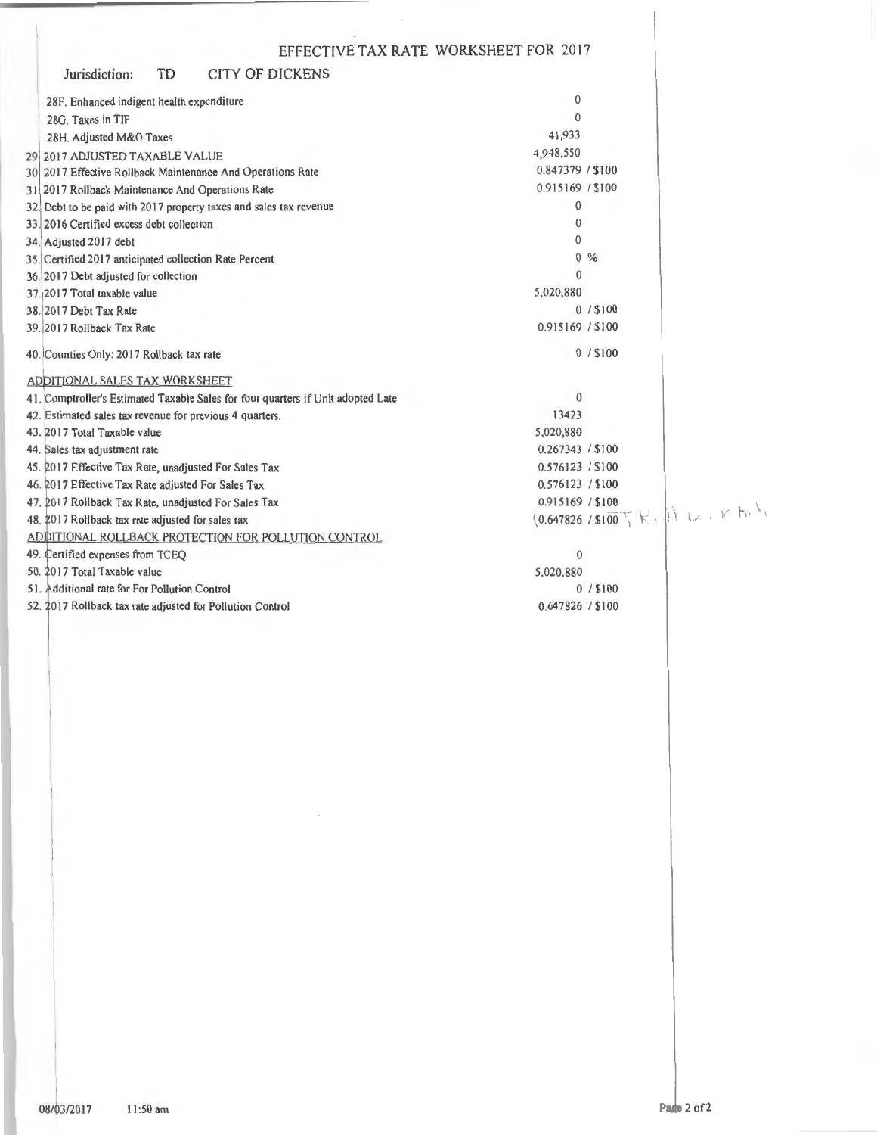|                                                                                  | EFFECTIVE TAX RATE WORKSHEET FOR 2017                         |
|----------------------------------------------------------------------------------|---------------------------------------------------------------|
| TD<br>Jurisdiction:<br>CITY OF DICKENS                                           |                                                               |
| 28F. Enhanced indigent health expenditure                                        | $\bf{0}$                                                      |
| 28G. Taxes in TIF                                                                | $\theta$                                                      |
| 28H. Adjusted M&O Taxes                                                          | 41,933                                                        |
| 29 2017 ADJUSTED TAXABLE VALUE                                                   | 4,948,550                                                     |
| 30 2017 Effective Rollback Maintenance And Operations Rate                       | 0.847379 / \$100                                              |
| 31 2017 Rollback Maintenance And Operations Rate                                 | 0.915169 / \$100                                              |
| 32. Debt to be paid with 2017 property taxes and sales tax revenue               | $\bf{0}$                                                      |
| 33. 2016 Certified excess debt collection                                        | $\theta$                                                      |
| 34. Adjusted 2017 debt                                                           | 0                                                             |
| 35. Certified 2017 anticipated collection Rate Percent                           | $0, \%$                                                       |
| 36. 2017 Debt adjusted for collection                                            | $\theta$                                                      |
| 37. 2017 Total taxable value                                                     | 5,020,880                                                     |
| 38. 2017 Debt Tax Rate                                                           | $0/$ \$100                                                    |
| 39. 2017 Rollback Tax Rate                                                       | 0.915169 / \$100                                              |
| 40. Counties Only: 2017 Rollback tax rate                                        | $0/$ \$100                                                    |
| ADDITIONAL SALES TAX WORKSHEET                                                   |                                                               |
| 41. Comptroller's Estimated Taxable Sales for four quarters if Unit adopted Late | $\mathbf{0}$                                                  |
| 42. Estimated sales tax revenue for previous 4 quarters.                         | 13423                                                         |
| 43. 2017 Total Taxable value                                                     | 5,020,880                                                     |
| 44. Sales tax adjustment rate                                                    | 0.267343 / \$100                                              |
| 45. 2017 Effective Tax Rate, unadjusted For Sales Tax                            | 0.576123 / \$100                                              |
| 46. 2017 Effective Tax Rate adjusted For Sales Tax                               | 0.576123 / \$100                                              |
| 47. 2017 Rollback Tax Rate, unadjusted For Sales Tax                             | 0.915169 / \$100                                              |
| 48. 2017 Rollback tax rate adjusted for sales tax                                | $(0.647826 / $100$ $\sqrt{1}$ keep $\sqrt{1}$ keep $\sqrt{1}$ |
| ADDITIONAL ROLLBACK PROTECTION FOR POLLUTION CONTROL                             |                                                               |
| 49. Certified expenses from TCEQ                                                 | $\bf{0}$                                                      |
| 50. 2017 Total Taxable value                                                     | 5,020,880                                                     |
| 51. Additional rate for For Pollution Control                                    | $0/$ \$100                                                    |
| 52. 2017 Rollback tax rate adjusted for Pollution Control                        | 0.647826 / \$100                                              |
|                                                                                  |                                                               |
|                                                                                  |                                                               |
|                                                                                  |                                                               |
|                                                                                  |                                                               |
|                                                                                  |                                                               |
|                                                                                  |                                                               |
|                                                                                  |                                                               |
|                                                                                  |                                                               |
|                                                                                  |                                                               |
|                                                                                  |                                                               |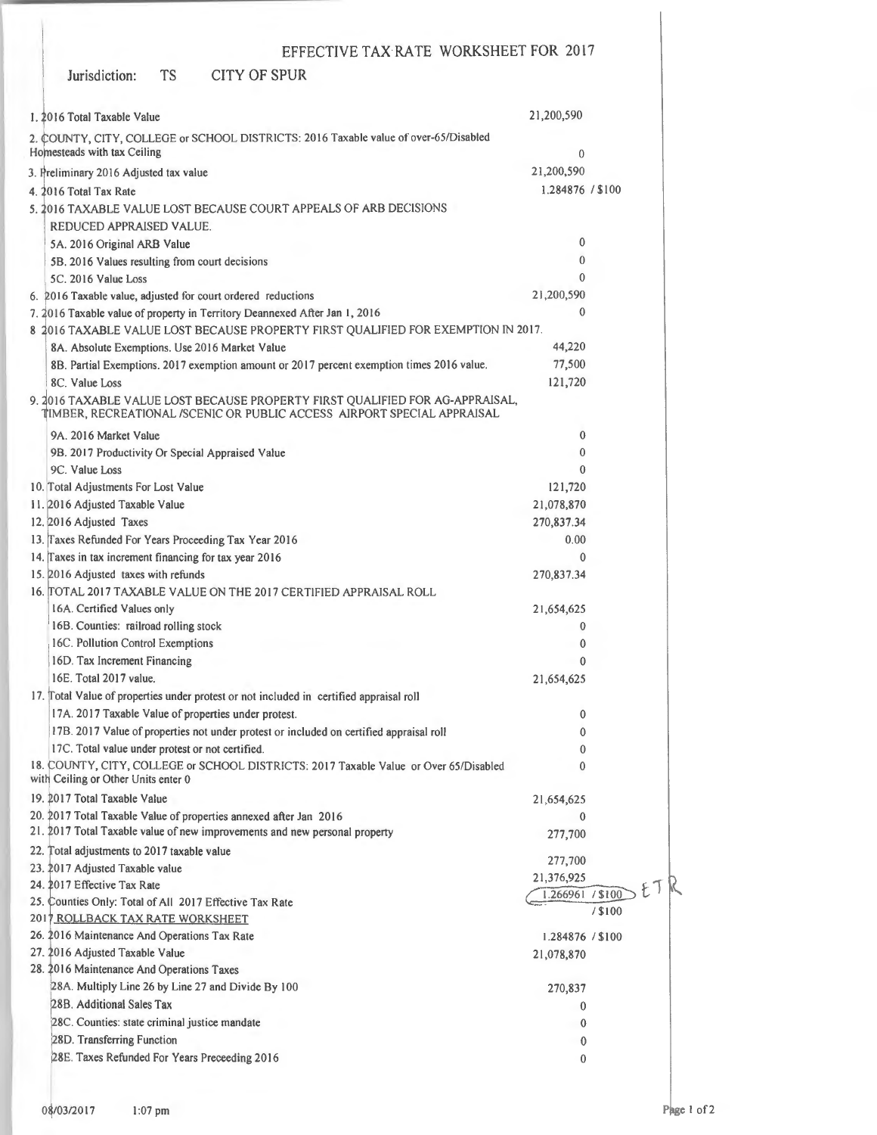Jurisdiction: TS CITY OF SPUR

| 1. 2016 Total Taxable Value                                                                                                                              | 21,200,590       |           |  |  |  |
|----------------------------------------------------------------------------------------------------------------------------------------------------------|------------------|-----------|--|--|--|
| 2. COUNTY, CITY, COLLEGE or SCHOOL DISTRICTS: 2016 Taxable value of over-65/Disabled                                                                     |                  |           |  |  |  |
| Homesteads with tax Ceiling                                                                                                                              | $\Omega$         |           |  |  |  |
| 3. Preliminary 2016 Adjusted tax value                                                                                                                   | 21,200,590       |           |  |  |  |
| 4. 2016 Total Tax Rate                                                                                                                                   | 1.284876 / \$100 |           |  |  |  |
| 5. 2016 TAXABLE VALUE LOST BECAUSE COURT APPEALS OF ARB DECISIONS                                                                                        |                  |           |  |  |  |
| REDUCED APPRAISED VALUE.                                                                                                                                 |                  |           |  |  |  |
| 5A. 2016 Original ARB Value                                                                                                                              | 0                |           |  |  |  |
| 5B. 2016 Values resulting from court decisions                                                                                                           | $\bf{0}$         |           |  |  |  |
| 5C. 2016 Value Loss                                                                                                                                      | $\mathbf{0}$     |           |  |  |  |
| 6. 2016 Taxable value, adjusted for court ordered reductions                                                                                             | 21,200,590       |           |  |  |  |
| 7. 2016 Taxable value of property in Territory Deannexed After Jan 1, 2016                                                                               | $\theta$         |           |  |  |  |
| 8 2016 TAXABLE VALUE LOST BECAUSE PROPERTY FIRST QUALIFIED FOR EXEMPTION IN 2017.                                                                        |                  |           |  |  |  |
| 8A. Absolute Exemptions. Use 2016 Market Value                                                                                                           | 44,220           |           |  |  |  |
| 8B. Partial Exemptions. 2017 exemption amount or 2017 percent exemption times 2016 value.                                                                | 77,500           |           |  |  |  |
| 8C. Value Loss                                                                                                                                           | 121,720          |           |  |  |  |
| 9. 2016 TAXABLE VALUE LOST BECAUSE PROPERTY FIRST QUALIFIED FOR AG-APPRAISAL,<br>TIMBER, RECREATIONAL /SCENIC OR PUBLIC ACCESS AIRPORT SPECIAL APPRAISAL |                  |           |  |  |  |
| 9A. 2016 Market Value                                                                                                                                    | $\bf{0}$         |           |  |  |  |
| 9B. 2017 Productivity Or Special Appraised Value                                                                                                         | $^{0}$           |           |  |  |  |
| 9C. Value Loss                                                                                                                                           | $\theta$         |           |  |  |  |
| 10. Total Adjustments For Lost Value                                                                                                                     | 121,720          |           |  |  |  |
| 11. 2016 Adjusted Taxable Value                                                                                                                          | 21,078,870       |           |  |  |  |
| 12. 2016 Adjusted Taxes                                                                                                                                  | 270,837.34       |           |  |  |  |
| 13. Taxes Refunded For Years Proceeding Tax Year 2016                                                                                                    | 0.00             |           |  |  |  |
| 14. Taxes in tax increment financing for tax year 2016                                                                                                   | $\mathbf{0}$     |           |  |  |  |
| 15. 2016 Adjusted taxes with refunds                                                                                                                     | 270,837.34       |           |  |  |  |
| 16. [TOTAL 2017 TAXABLE VALUE ON THE 2017 CERTIFIED APPRAISAL ROLL                                                                                       |                  |           |  |  |  |
| 16A. Certified Values only                                                                                                                               | 21,654,625       |           |  |  |  |
| 16B. Counties: railroad rolling stock                                                                                                                    | $\mathbf{0}$     |           |  |  |  |
| 16C. Pollution Control Exemptions                                                                                                                        | $\mathbf{0}$     |           |  |  |  |
| 16D. Tax Increment Financing                                                                                                                             | $\Omega$         |           |  |  |  |
| 16E. Total 2017 value.                                                                                                                                   | 21,654,625       |           |  |  |  |
| 17. Total Value of properties under protest or not included in certified appraisal roll                                                                  |                  |           |  |  |  |
| 17A. 2017 Taxable Value of properties under protest.                                                                                                     | $\mathbf{0}$     |           |  |  |  |
| 17B. 2017 Value of properties not under protest or included on certified appraisal roll                                                                  | $\mathbf{0}$     |           |  |  |  |
| 17C. Total value under protest or not certified.                                                                                                         | 0                |           |  |  |  |
| 18. COUNTY, CITY, COLLEGE or SCHOOL DISTRICTS: 2017 Taxable Value or Over 65/Disabled<br>with Ceiling or Other Units enter 0                             | 0                |           |  |  |  |
| 19. 2017 Total Taxable Value                                                                                                                             | 21,654,625       |           |  |  |  |
| 20. 2017 Total Taxable Value of properties annexed after Jan 2016                                                                                        | $\bf{0}$         |           |  |  |  |
| 21. 2017 Total Taxable value of new improvements and new personal property                                                                               | 277,700          |           |  |  |  |
| 22. Total adjustments to 2017 taxable value                                                                                                              | 277,700          |           |  |  |  |
| 23. 2017 Adjusted Taxable value                                                                                                                          | 21,376,925       |           |  |  |  |
| 24. 2017 Effective Tax Rate                                                                                                                              | 1.266961 / \$100 |           |  |  |  |
| 25. Counties Only: Total of All 2017 Effective Tax Rate                                                                                                  |                  | $/$ \$100 |  |  |  |
| 2017 ROLLBACK TAX RATE WORKSHEET                                                                                                                         |                  |           |  |  |  |
| 26. 2016 Maintenance And Operations Tax Rate                                                                                                             | 1.284876 / \$100 |           |  |  |  |
| 27. 2016 Adjusted Taxable Value                                                                                                                          | 21,078,870       |           |  |  |  |
| 28. 2016 Maintenance And Operations Taxes                                                                                                                |                  |           |  |  |  |
| 28A. Multiply Line 26 by Line 27 and Divide By 100                                                                                                       | 270,837          |           |  |  |  |
| 28B. Additional Sales Tax                                                                                                                                | $\bf{0}$         |           |  |  |  |
| 28C. Counties: state criminal justice mandate                                                                                                            | $\bf{0}$         |           |  |  |  |
| 28D. Transferring Function                                                                                                                               | $\bf{0}$         |           |  |  |  |
| 28E. Taxes Refunded For Years Preceeding 2016                                                                                                            | 0                |           |  |  |  |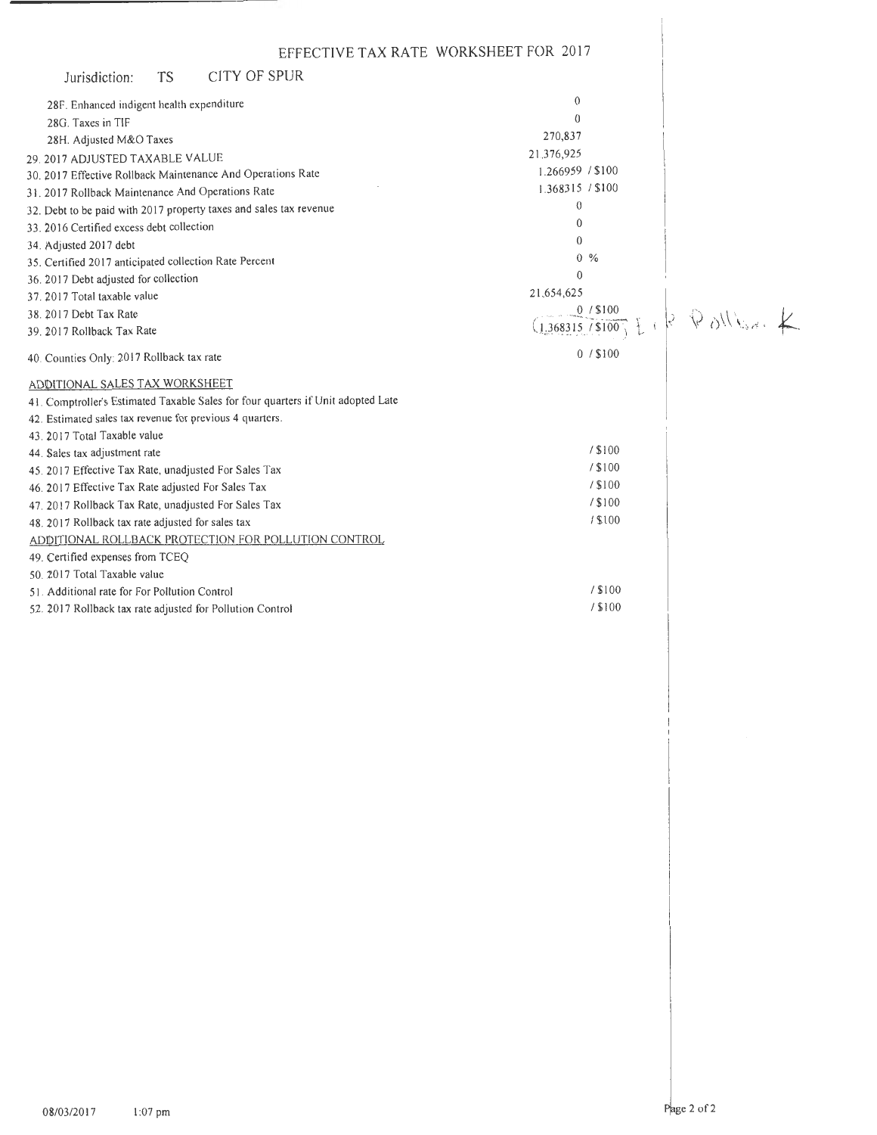| EFFECTIVE TAX RATE WORKSHEET FOR 2017                                            |                                                                 |  |
|----------------------------------------------------------------------------------|-----------------------------------------------------------------|--|
| <b>CITY OF SPUR</b><br><b>TS</b><br>Jurisdiction:                                |                                                                 |  |
| 28F. Enhanced indigent health expenditure                                        | $\Omega$                                                        |  |
| 28G. Taxes in TIF                                                                | $\Omega$                                                        |  |
| 28H. Adjusted M&O Taxes                                                          | 270,837                                                         |  |
| 29. 2017 ADJUSTED TAXABLE VALUE                                                  | 21,376,925                                                      |  |
| 30. 2017 Effective Rollback Maintenance And Operations Rate                      | 1.266959 / \$100                                                |  |
| 31. 2017 Rollback Maintenance And Operations Rate                                | 1.368315 / \$100                                                |  |
| 32. Debt to be paid with 2017 property taxes and sales tax revenue               | $\theta$                                                        |  |
| 33. 2016 Certified excess debt collection                                        | 0                                                               |  |
| 34. Adjusted 2017 debt                                                           | $\Omega$                                                        |  |
| 35. Certified 2017 anticipated collection Rate Percent                           | $0, \%$                                                         |  |
| 36. 2017 Debt adjusted for collection                                            | $\theta$                                                        |  |
| 37. 2017 Total taxable value                                                     | 21,654,625                                                      |  |
| 38. 2017 Debt Tax Rate                                                           | 0/100                                                           |  |
| 39. 2017 Rollback Tax Rate                                                       | $\frac{1.368315/8100}{2/3100}$ $ 8 \quad \sqrt{8}$ $\sqrt{1/8}$ |  |
| 40. Counties Only: 2017 Rollback tax rate                                        | $0/$ \$100                                                      |  |
| ADDITIONAL SALES TAX WORKSHEET                                                   |                                                                 |  |
| 41. Comptroller's Estimated Taxable Sales for four quarters if Unit adopted Late |                                                                 |  |
| 42. Estimated sales tax revenue for previous 4 quarters.                         |                                                                 |  |
| 43. 2017 Total Taxable value                                                     |                                                                 |  |
| 44. Sales tax adjustment rate                                                    | / \$100                                                         |  |
| 45. 2017 Effective Tax Rate, unadjusted For Sales Tax                            | / \$100                                                         |  |
| 46. 2017 Effective Tax Rate adjusted For Sales Tax                               | / \$100                                                         |  |
| 47. 2017 Rollback Tax Rate, unadjusted For Sales Tax                             | / \$100                                                         |  |
| 48. 2017 Rollback tax rate adjusted for sales tax                                | / \$100                                                         |  |
| ADDITIONAL ROLLBACK PROTECTION FOR POLLUTION CONTROL                             |                                                                 |  |
| 49. Certified expenses from TCEQ                                                 |                                                                 |  |
| 50. 2017 Total Taxable value                                                     |                                                                 |  |
| 51. Additional rate for For Pollution Control                                    | / \$100                                                         |  |
| 52. 2017 Rollback tax rate adjusted for Pollution Control                        | / \$100                                                         |  |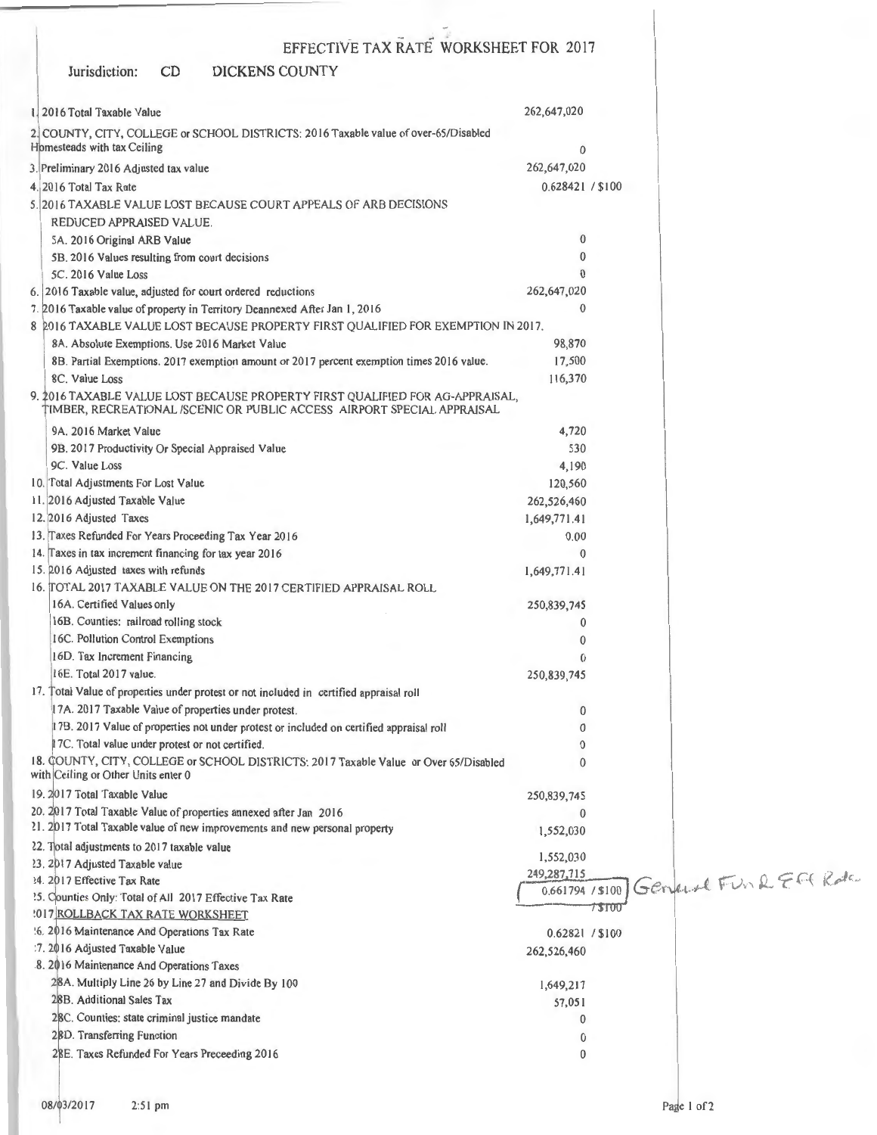### Jurisdiction: CD EFFECTIVE TAX RATE WORKSHEET FOR 2017 DICKENS COUNTY 1. 2016 Total Taxable Value 2 COUNTY, CITY, COLLEGE or SCHOOL DISTRICTS: 2016 Taxable value of over-65/Disabled Homesteads with tax Ceiling 3. Preliminary 2016 Adjusted tax value 4. 20 16 Total Tax Rate 5. 20 16 TAXABLE VALUE LOST BECAUSE COURT APPEALS OF ARB DECISIONS REDUCED APPRAJSED VALUE. SA. 20 16 Original ARB Value 58. 20 16 Values resulting from court decisions SC. 2016 Value Loss 6. 20 16 Taxable value, adjusted for court ordered reductions 7. 016 Taxable value of property in Territory Deannexed After Jan I, 20 16 262,647,020  $\Omega$ 262,647,020 0.628421 / \$100 0 0 0 262,647,020  $\Omega$ 8 2016 TAXABLE VALUE LOST BECAUSE PROPERTY FIRST OUALIFIED FOR EXEMPTION IN 2017. 8A. Absolute Exemptions. Use 2016 Market Value 8B. Partial Exemptions. 2017 exemption amount or 2017 percent exemption times 2016 value. 8C. Value Loss 9. 2016 TAXABLE VALUE LOST BECAUSE PROPERTY FIRST QUALIFIED FOR AG-APPRAISAL, IMBER, RECREATIONAL /SCENIC OR PUBLIC ACCESS AIRPORT SPECIAL APPRAISAL 9A. 2016 Market Value 98. 2017 Productivity Or Special Appraised Value 9C. Value Loss 10. Total Adjustments For Lost Value II. 2016 Adjusted Taxable Value 12. 2016 Adjusted Taxes 13. Taxes Refunded For Years Proceeding Tax Year 2016 14. Taxes in tax increment financing for tax year 2016 15. 2016 Adjusted taxes with refunds 16. TOTAL 2017 TAXABLE VALUE ON THE 2017 CERTIFIED APPRAISAL ROLL 16A. Certified Values only 16B. Counties: railroad rolling stock 16C. Pollution Control Exemptions 16D. Tax Increment Financing 16E. Total 2017 value. 17. Total Value of properties under protest or not included in certified appraisal roll 17A. 2017 Taxable Value of properties under protest. 178. 20 17 Value of properties not under protest or included on certified appraisal roll 17C. Total value under protest or not certified. 18. OUNTY, CITY, COLLEGE or SCHOOL DISTRICTS: 2017 Taxable Value or Over 65/Disabled with Ceiling or Other Units enter 0 19. 2017 Total Taxable Value 20. 2017 Total Taxable Value of properties annexed after Jan 2016 21. 2017 Total Taxable value of new improvements and new personal property 22. Total adjustments to 2017 taxable value 98,870 17,500 116,370 4,720 530 4,190 120,560 262,526,460 1,649,771.41 0.00  $\Omega$ 1,649,771.41 250,839,745 0 0  $\Omega$ 250,839,745  $\Omega$ 0  $\Omega$ 0 250,839,745  $\Omega$ I ,552,030 1,552,030 42287,71 ~ / ~ ,~-: J ~~ .~;::.: c{ .. (,~tr r-· 0.661794 / \$100 \..:1 1,'\ ~ .. [ .. /· r ! *v·.\* .~. ( ' ' 1 \$'r0'0 23. 2017 Adjusted Taxable value 24. 2017 Effective Tax Rate ?5. Counties Only: Total of All 2017 Effective Tax Rate !0 17 ROLLBACK TAX RATE WORKSHEET :6. 2 16 Maintenance And Operations Tax Rate :7. 2016 Adjusted Taxable Value 8. 2016 Maintenance And Operations Taxes 28A. Multiply Line 26 by Line 27 and Divide By 100 2 B. Additional Sales Tax 28C. Counties: state criminal justice mandate 0.62821 / \$100 262,526,460 1,649,2 17 57,05 1 0

28D. Transferring Function

2BE. Taxes Refunded For Years Preceeding 2016

0 0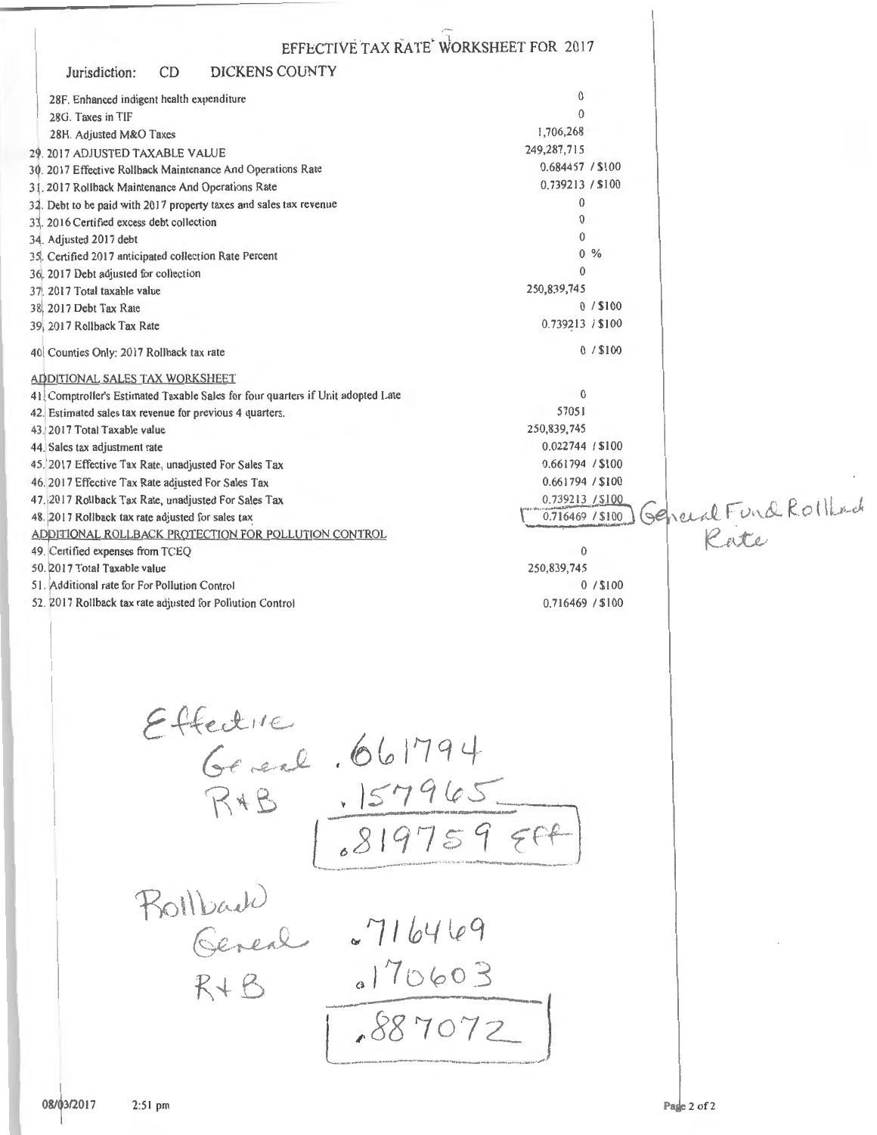EFFECTIVE TAX RATE WORKSHEET FOR 2017  $CD$ **DICKENS COUNTY** Jurisdiction:  $\mathbf{0}$ 28F. Enhanced indigent health expenditure  $\overline{0}$ 28G. Taxes in TIF 1,706,268 28H. Adjusted M&O Taxes 249,287,715 29. 2017 ADJUSTED TAXABLE VALUE 0.684457 / \$100 30. 2017 Effective Rollback Maintenance And Operations Rate 0.739213 / \$100 31. 2017 Rollback Maintenance And Operations Rate  $\mathbf{0}$ 32. Debt to be paid with 2017 property taxes and sales tax revenue  $\Omega$ 33. 2016 Certified excess debt collection  $\theta$ 34. Adjusted 2017 debt  $0^{9}/$ 35. Certified 2017 anticipated collection Rate Percent  $\Omega$ 36, 2017 Debt adjusted for collection 250,839,745 37. 2017 Total taxable value  $0/15100$ 38 2017 Debt Tax Rate 0.739213 / \$100 39, 2017 Rollback Tax Rate  $0/$ \$100 40. Counties Only: 2017 Rollback tax rate ADDITIONAL SALES TAX WORKSHEET  $\Omega$ 41. Comptroller's Estimated Taxable Sales for four quarters if Unit adopted Late 57051 42. Estimated sales tax revenue for previous 4 quarters. 250,839,745 43. 2017 Total Taxable value 0.022744 / \$100 44. Sales tax adjustment rate 45. 2017 Effective Tax Rate, unadjusted For Sales Tax 0.661794 / \$100 0.661794 / \$100 46. 2017 Effective Tax Rate adjusted For Sales Tax 0.739213 / \$100 General Fund Rollad 47.2017 Rollback Tax Rate, unadjusted For Sales Tax 48. 2017 Rollback tax rate adjusted for sales tax 0.716469 / \$100 Rate ADDITIONAL ROLLBACK PROTECTION FOR POLLUTION CONTROL 49. Certified expenses from TCEQ  $\Omega$ 250,839,745 50. 2017 Total Taxable value  $0/$ \$100 51. Additional rate for For Pollution Control 52. 2017 Rollback tax rate adjusted for Pollution Control 0.716469 / \$100 Effectue<br>Gerenl . 661794 R+B 157965  $81975959$ Bollbach<br>General ~716469  $3170603$  $R + B$  $887072$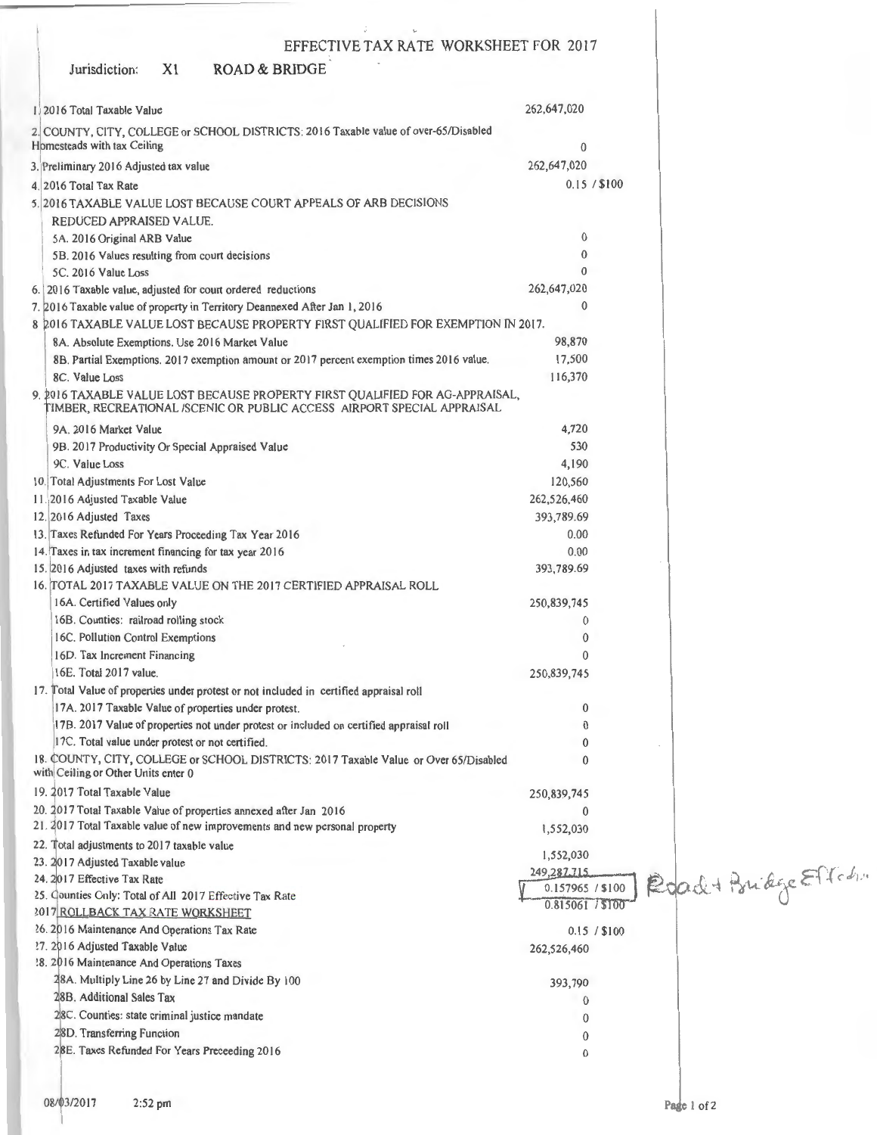| EFFECTIVE TAX RATE WORKSHEET FOR 2017                                                                                                                    |                  |                         |
|----------------------------------------------------------------------------------------------------------------------------------------------------------|------------------|-------------------------|
| <b>ROAD &amp; BRIDGE</b><br>X <sub>1</sub><br>Jurisdiction:                                                                                              |                  |                         |
| 1.2016 Total Taxable Value                                                                                                                               | 262,647,020      |                         |
|                                                                                                                                                          |                  |                         |
| 2. COUNTY, CITY, COLLEGE or SCHOOL DISTRICTS: 2016 Taxable value of over-65/Disabled<br>Homesteads with tax Ceiling                                      | 0                |                         |
| 3. Preliminary 2016 Adjusted tax value                                                                                                                   | 262,647,020      |                         |
| 4. 2016 Total Tax Rate                                                                                                                                   | 0.15 / \$100     |                         |
| 5. 2016 TAXABLE VALUE LOST BECAUSE COURT APPEALS OF ARB DECISIONS                                                                                        |                  |                         |
| REDUCED APPRAISED VALUE.                                                                                                                                 |                  |                         |
| 5A. 2016 Original ARB Value                                                                                                                              | $\bf{0}$         |                         |
| 5B. 2016 Values resulting from court decisions                                                                                                           | $\bf{0}$         |                         |
| 5C. 2016 Value Loss                                                                                                                                      | $\theta$         |                         |
| 6. 2016 Taxable value, adjusted for court ordered reductions                                                                                             | 262,647,020      |                         |
| 7. 2016 Taxable value of property in Territory Deannexed After Jan 1, 2016                                                                               | $\mathbf{0}$     |                         |
| 8 2016 TAXABLE VALUE LOST BECAUSE PROPERTY FIRST QUALIFIED FOR EXEMPTION IN 2017.                                                                        |                  |                         |
| 8A. Absolute Exemptions. Use 2016 Market Value                                                                                                           | 98,870           |                         |
| 8B. Partial Exemptions. 2017 exemption amount or 2017 percent exemption times 2016 value.                                                                | 17,500           |                         |
| 8C. Value Loss                                                                                                                                           | 116,370          |                         |
| 9. 2016 TAXABLE VALUE LOST BECAUSE PROPERTY FIRST QUALIFIED FOR AG-APPRAISAL,<br>TIMBER, RECREATIONAL /SCENIC OR PUBLIC ACCESS AIRPORT SPECIAL APPRAISAL |                  |                         |
| 9A. 2016 Market Value                                                                                                                                    | 4,720            |                         |
| 9B. 2017 Productivity Or Special Appraised Value                                                                                                         | 530              |                         |
| 9C. Value Loss                                                                                                                                           | 4,190            |                         |
| 10. Total Adjustments For Lost Value                                                                                                                     | 120,560          |                         |
| 11.2016 Adjusted Taxable Value                                                                                                                           | 262,526,460      |                         |
| 12. 2016 Adjusted Taxes                                                                                                                                  | 393,789.69       |                         |
| 13. Taxes Refunded For Years Proceeding Tax Year 2016                                                                                                    | 0.00             |                         |
| 14. Taxes in tax increment financing for tax year 2016                                                                                                   | 0.00             |                         |
| 15. 2016 Adjusted taxes with refunds                                                                                                                     | 393,789.69       |                         |
| 16. TOTAL 2017 TAXABLE VALUE ON THE 2017 CERTIFIED APPRAISAL ROLL                                                                                        |                  |                         |
| 16A. Certified Values only                                                                                                                               | 250,839,745      |                         |
| 16B. Counties: railroad rolling stock                                                                                                                    | 0                |                         |
| 16C. Pollution Control Exemptions                                                                                                                        | $\bf{0}$         |                         |
| 16D. Tax Increment Financing                                                                                                                             | 0                |                         |
| 16E. Total 2017 value.                                                                                                                                   | 250,839,745      |                         |
| 17. Total Value of properties under protest or not included in certified appraisal roll                                                                  |                  |                         |
| 17A. 2017 Taxable Value of properties under protest.                                                                                                     | $\bf{0}$         |                         |
| 17B. 2017 Value of properties not under protest or included on certified appraisal roll                                                                  | 0                |                         |
| 17C. Total value under protest or not certified.                                                                                                         | 0                |                         |
| 18. COUNTY, CITY, COLLEGE or SCHOOL DISTRICTS: 2017 Taxable Value or Over 65/Disabled<br>with Ceiling or Other Units enter 0                             | $\Omega$         |                         |
| 19. 2017 Total Taxable Value                                                                                                                             | 250,839,745      |                         |
| 20. 2017 Total Taxable Value of properties annexed after Jan 2016                                                                                        | 0                |                         |
| 21. 2017 Total Taxable value of new improvements and new personal property                                                                               | 1,552,030        |                         |
| 22. Total adjustments to 2017 taxable value                                                                                                              | 1,552,030        |                         |
| 23. 2017 Adjusted Taxable value<br>24. 2017 Effective Tax Rate                                                                                           | 249,287.715      | Road + Bridge Effection |
| 25. Counties Only: Total of All 2017 Effective Tax Rate                                                                                                  | 0.157965 / \$100 |                         |
| 2017 ROLLBACK TAX RATE: WORKSHEET                                                                                                                        | 0.815061 / \$100 |                         |
| 26. 2016 Maintenance And Operations Tax Rate                                                                                                             | 0.15 / \$100     |                         |
| ?7. 2016 Adjusted Taxable Value                                                                                                                          | 262,526,460      |                         |
| 18. 2016 Maintenance And Operations Taxes                                                                                                                |                  |                         |
| 28A. Multiply Line 26 by Line 27 and Divide By 100                                                                                                       | 393,790          |                         |
| 28B. Additional Sales Tax                                                                                                                                | $\theta$         |                         |
| 28C. Counties: state criminal justice mandate                                                                                                            | $\Omega$         |                         |
| 28D. Transferring Function                                                                                                                               | 0                |                         |
| 28E. Taxes Refunded For Years Preceeding 2016                                                                                                            | 0                |                         |
|                                                                                                                                                          |                  |                         |